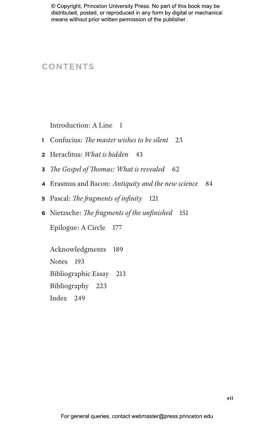# **CONTENTS**

Introduction: A Line 1

- **1** Confucius: *The master wishes to be silent* 23
- **2** Heraclitus: *What is hidden* 43
- **3** *The Gospel of Thomas: What is revealed* 62
- **4** Erasmus and Bacon: *Antiquity and the new science* 84
- **5** Pascal: *The fragments of infinity* 121
- **6** Nietzsche: *The fragments of the unfinished* 151 Epilogue: A Circle 177

Acknowledgments 189 Notes 193 Bibliographic Essay 213 Bibliography 223 Index 249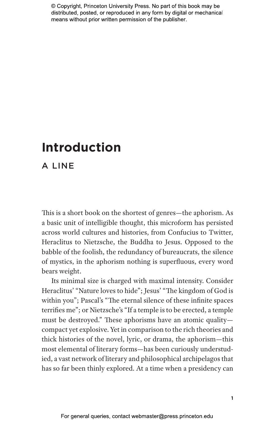# **Introduction**

A LINE

This is a short book on the shortest of genres—the aphorism. As a basic unit of intelligible thought, this microform has persisted across world cultures and histories, from Confucius to Twitter, Heraclitus to Nietzsche, the Buddha to Jesus. Opposed to the babble of the foolish, the redundancy of bureaucrats, the silence of mystics, in the aphorism nothing is superfluous, every word bears weight.

Its minimal size is charged with maximal intensity. Consider Heraclitus' "Nature loves to hide"; Jesus' "The kingdom of God is within you"; Pascal's "The eternal silence of these infinite spaces terrifies me"; or Nietzsche's "If a temple is to be erected, a temple must be destroyed." These aphorisms have an atomic quality compact yet explosive. Yet in comparison to the rich theories and thick histories of the novel, lyric, or drama, the aphorism—this most elemental of literary forms—has been curiously understudied, a vast network of literary and philosophical archipelagos that has so far been thinly explored. At a time when a presidency can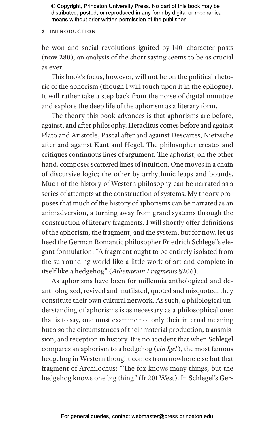# **2** Introduction

be won and social revolutions ignited by 140–character posts (now 280), an analysis of the short saying seems to be as crucial as ever.

This book's focus, however, will not be on the political rhetoric of the aphorism (though I will touch upon it in the epilogue). It will rather take a step back from the noise of digital minutiae and explore the deep life of the aphorism as a literary form.

The theory this book advances is that aphorisms are before, against, and after philosophy. Heraclitus comes before and against Plato and Aristotle, Pascal after and against Descartes, Nietzsche after and against Kant and Hegel. The philosopher creates and critiques continuous lines of argument. The aphorist, on the other hand, composes scattered lines of intuition. One moves in a chain of discursive logic; the other by arrhythmic leaps and bounds. Much of the history of Western philosophy can be narrated as a series of attempts at the construction of systems. My theory proposes that much of the history of aphorisms can be narrated as an animadversion, a turning away from grand systems through the construction of literary fragments. I will shortly offer definitions of the aphorism, the fragment, and the system, but for now, let us heed the German Romantic philosopher Friedrich Schlegel's elegant formulation: "A fragment ought to be entirely isolated from the surrounding world like a little work of art and complete in itself like a hedgehog" (*Athenaeum Fragments* §206).

As aphorisms have been for millennia anthologized and deanthologized, revived and mutilated, quoted and misquoted, they constitute their own cultural network. As such, a philological understanding of aphorisms is as necessary as a philosophical one: that is to say, one must examine not only their internal meaning but also the circumstances of their material production, transmission, and reception in history. It is no accident that when Schlegel compares an aphorism to a hedgehog (*ein Igel*), the most famous hedgehog in Western thought comes from nowhere else but that fragment of Archilochus: "The fox knows many things, but the hedgehog knows one big thing" (fr 201 West). In Schlegel's Ger-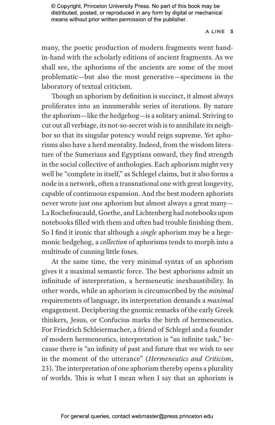# A Line **3**

many, the poetic production of modern fragments went handin-hand with the scholarly editions of ancient fragments. As we shall see, the aphorisms of the ancients are some of the most problematic—but also the most generative—specimens in the laboratory of textual criticism.

Though an aphorism by definition is succinct, it almost always proliferates into an innumerable series of iterations. By nature the aphorism—like the hedgehog—is a solitary animal. Striving to cut out all verbiage, its not-so-secret wish is to annihilate its neighbor so that its singular potency would reign supreme. Yet aphorisms also have a herd mentality. Indeed, from the wisdom literature of the Sumerians and Egyptians onward, they find strength in the social collective of anthologies. Each aphorism might very well be "complete in itself," as Schlegel claims, but it also forms a node in a network, often a transnational one with great longevity, capable of continuous expansion. And the best modern aphorists never wrote just one aphorism but almost always a great many— La Rochefoucauld, Goethe, and Lichtenberg had notebooks upon notebooks filled with them and often had trouble finishing them. So I find it ironic that although a *single* aphorism may be a hegemonic hedgehog, a *collection* of aphorisms tends to morph into a multitude of cunning little foxes.

At the same time, the very minimal syntax of an aphorism gives it a maximal semantic force. The best aphorisms admit an infinitude of interpretation, a hermeneutic inexhaustibility. In other words, while an aphorism is circumscribed by the *minimal* requirements of language, its interpretation demands a *maximal* engagement. Deciphering the gnomic remarks of the early Greek thinkers, Jesus, or Confucius marks the birth of hermeneutics. For Friedrich Schleiermacher, a friend of Schlegel and a founder of modern hermeneutics, interpretation is "an infinite task," because there is "an infinity of past and future that we wish to see in the moment of the utterance" (*Hermeneutics and Criticism*, 23). The interpretation of one aphorism thereby opens a plurality of worlds. This is what I mean when I say that an aphorism is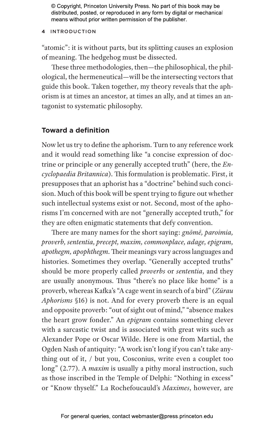**4** Introduction

"atomic": it is without parts, but its splitting causes an explosion of meaning. The hedgehog must be dissected.

These three methodologies, then—the philosophical, the philological, the hermeneutical—will be the intersecting vectors that guide this book. Taken together, my theory reveals that the aphorism is at times an ancestor, at times an ally, and at times an antagonist to systematic philosophy.

# **Toward a definition**

Now let us try to define the aphorism. Turn to any reference work and it would read something like "a concise expression of doctrine or principle or any generally accepted truth" (here, the *Encyclopaedia Britannica*). This formulation is problematic. First, it presupposes that an aphorist has a "doctrine" behind such concision. Much of this book will be spent trying to figure out whether such intellectual systems exist or not. Second, most of the aphorisms I'm concerned with are not "generally accepted truth," for they are often enigmatic statements that defy convention.

There are many names for the short saying: *gnōmē, paroimia, proverb, sententia, precept, maxim, commonplace, adage, epigram, apothegm, apophthegm*. Their meanings vary across languages and histories. Sometimes they overlap. "Generally accepted truths" should be more properly called *proverbs* or *sententia*, and they are usually anonymous. Thus "there's no place like home" is a proverb, whereas Kafka's "A cage went in search of a bird" (*Zürau Aphorisms* §16) is not. And for every proverb there is an equal and opposite proverb: "out of sight out of mind," "absence makes the heart grow fonder." An *epigram* contains something clever with a sarcastic twist and is associated with great wits such as Alexander Pope or Oscar Wilde. Here is one from Martial, the Ogden Nash of antiquity: "A work isn't long if you can't take anything out of it, / but you, Cosconius, write even a couplet too long" (2.77). A *maxim* is usually a pithy moral instruction, such as those inscribed in the Temple of Delphi: "Nothing in excess" or "Know thyself." La Rochefoucauld's *Maximes*, however, are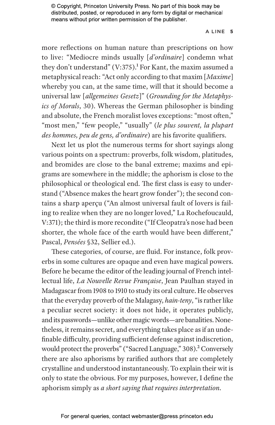## A Line **5**

more reflections on human nature than prescriptions on how to live: "Mediocre minds usually [*d'ordinaire*] condemn what they don't understand" (V:375).<sup>1</sup> For Kant, the maxim assumed a metaphysical reach: "Act only according to that maxim [*Maxime*] whereby you can, at the same time, will that it should become a universal law [*allgemeines Gesetz*]" (*Grounding for the Metaphysics of Morals*, 30). Whereas the German philosopher is binding and absolute, the French moralist loves exceptions: "most often," "most men," "few people," "usually" (*le plus souvent, la plupart des hommes, peu de gens, d'ordinaire*) are his favorite qualifiers.

Next let us plot the numerous terms for short sayings along various points on a spectrum: proverbs, folk wisdom, platitudes, and bromides are close to the banal extreme; maxims and epigrams are somewhere in the middle; the aphorism is close to the philosophical or theological end. The first class is easy to understand ("Absence makes the heart grow fonder"); the second contains a sharp aperçu ("An almost universal fault of lovers is failing to realize when they are no longer loved," La Rochefoucauld, V:371); the third is more recondite ("If Cleopatra's nose had been shorter, the whole face of the earth would have been different," Pascal, *Pensées* §32, Sellier ed.).

These categories, of course, are fluid. For instance, folk proverbs in some cultures are opaque and even have magical powers. Before he became the editor of the leading journal of French intellectual life, *La Nouvelle Revue Française*, Jean Paulhan stayed in Madagascar from 1908 to 1910 to study its oral culture. He observes that the everyday proverb of the Malagasy, *hain-teny*, "is rather like a peculiar secret society: it does not hide, it operates publicly, and its passwords—unlike other magic words—are banalities. Nonetheless, it remains secret, and everything takes place as if an undefinable difficulty, providing sufficient defense against indiscretion, would protect the proverbs" ("Sacred Language," 308).<sup>2</sup> Conversely there are also aphorisms by rarified authors that are completely crystalline and understood instantaneously. To explain their wit is only to state the obvious. For my purposes, however, I define the aphorism simply as *a short saying that requires interpretation*.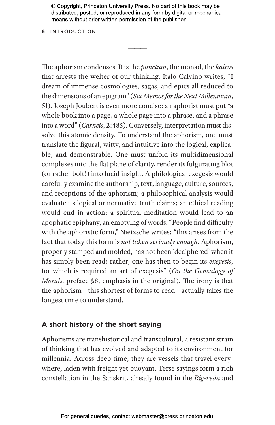———

**6** Introduction

The aphorism condenses. It is the *punctum*, the monad, the *kairos* that arrests the welter of our thinking. Italo Calvino writes, "I dream of immense cosmologies, sagas, and epics all reduced to the dimensions of an epigram" (*Six Memos for the Next Millennium*, 51). Joseph Joubert is even more concise: an aphorist must put "a whole book into a page, a whole page into a phrase, and a phrase into a word" (*Carnets,* 2:485). Conversely, interpretation must dissolve this atomic density. To understand the aphorism, one must translate the figural, witty, and intuitive into the logical, explicable, and demonstrable. One must unfold its multidimensional complexes into the flat plane of clarity, render its fulgurating blot (or rather bolt!) into lucid insight. A philological exegesis would carefully examine the authorship, text, language, culture, sources, and receptions of the aphorism; a philosophical analysis would evaluate its logical or normative truth claims; an ethical reading would end in action; a spiritual meditation would lead to an apophatic epiphany, an emptying of words. "People find difficulty with the aphoristic form," Nietzsche writes; "this arises from the fact that today this form is *not taken seriously enough.* Aphorism, properly stamped and molded, has not been 'deciphered' when it has simply been read; rather, one has then to begin its *exegesis,* for which is required an art of exegesis" (*On the Genealogy of Morals,* preface §8, emphasis in the original). The irony is that the aphorism—this shortest of forms to read—actually takes the longest time to understand.

# **A short history of the short saying**

Aphorisms are transhistorical and transcultural, a resistant strain of thinking that has evolved and adapted to its environment for millennia. Across deep time, they are vessels that travel everywhere, laden with freight yet buoyant. Terse sayings form a rich constellation in the Sanskrit, already found in the *Rig-veda* and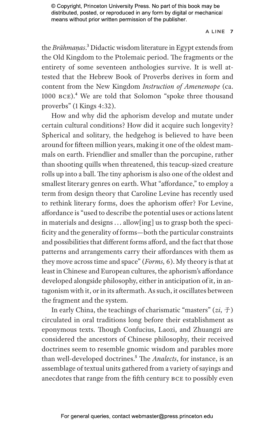# A Line **7**

the *Brāhmaṇas*.3 Didactic wisdom literature in Egypt extends from the Old Kingdom to the Ptolemaic period. The fragments or the entirety of some seventeen anthologies survive. It is well attested that the Hebrew Book of Proverbs derives in form and content from the New Kingdom *Instruction of Amenemope* (ca. 1000 bce).4 We are told that Solomon "spoke three thousand proverbs" (1 Kings 4:32).

How and why did the aphorism develop and mutate under certain cultural conditions? How did it acquire such longevity? Spherical and solitary, the hedgehog is believed to have been around for fifteen million years, making it one of the oldest mammals on earth. Friendlier and smaller than the porcupine, rather than shooting quills when threatened, this teacup-sized creature rolls up into a ball. The tiny aphorism is also one of the oldest and smallest literary genres on earth. What "affordance," to employ a term from design theory that Caroline Levine has recently used to rethink literary forms, does the aphorism offer? For Levine, affordance is "used to describe the potential uses or actions latent in materials and designs ... allow[ing] us to grasp both the specificity and the generality of forms—both the particular constraints and possibilities that different forms afford, and the fact that those patterns and arrangements carry their affordances with them as they move across time and space" (*Forms,* 6). My theory is that at least in Chinese and European cultures, the aphorism's affordance developed alongside philosophy, either in anticipation of it, in antagonism with it, or in its aftermath. As such, it oscillates between the fragment and the system.

In early China, the teachings of charismatic "masters" (*zi*, 子) circulated in oral traditions long before their establishment as eponymous texts. Though Confucius, Laozi, and Zhuangzi are considered the ancestors of Chinese philosophy, their received doctrines seem to resemble gnomic wisdom and parables more than well-developed doctrines.<sup>5</sup> The *Analects*, for instance, is an assemblage of textual units gathered from a variety of sayings and anecdotes that range from the fifth century BCE to possibly even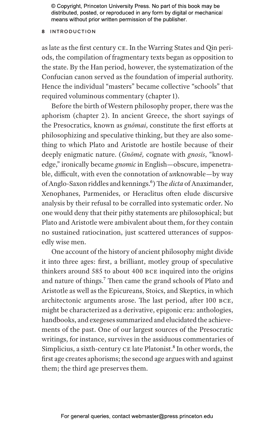**8** Introduction

as late as the first century ce. In the Warring States and Qin periods, the compilation of fragmentary texts began as opposition to the state. By the Han period, however, the systematization of the Confucian canon served as the foundation of imperial authority. Hence the individual "masters" became collective "schools" that required voluminous commentary (chapter 1).

Before the birth of Western philosophy proper, there was the aphorism (chapter 2). In ancient Greece, the short sayings of the Presocratics, known as *gnōmai*, constitute the first efforts at philosophizing and speculative thinking, but they are also something to which Plato and Aristotle are hostile because of their deeply enigmatic nature. (*Gnōmē,* cognate with *gnosis*, "knowledge," ironically became *gnomic* in English*—*obscure, impenetrable, difficult, with even the connotation of *un*knowable—by way of Anglo-Saxon riddles and kennings.6) The *dicta* of Anaximander, Xenophanes, Parmenides, or Heraclitus often elude discursive analysis by their refusal to be corralled into systematic order. No one would deny that their pithy statements are philosophical; but Plato and Aristotle were ambivalent about them, for they contain no sustained ratiocination, just scattered utterances of supposedly wise men.

One account of the history of ancient philosophy might divide it into three ages: first, a brilliant, motley group of speculative thinkers around 585 to about 400 bce inquired into the origins and nature of things.<sup>7</sup> Then came the grand schools of Plato and Aristotle as well as the Epicureans, Stoics, and Skeptics, in which architectonic arguments arose. The last period, after 100 bce, might be characterized as a derivative, epigonic era: anthologies, handbooks, and exegeses summarized and elucidated the achievements of the past. One of our largest sources of the Presocratic writings, for instance, survives in the assiduous commentaries of Simplicius, a sixth-century CE late Platonist.<sup>8</sup> In other words, the first age creates aphorisms; the second age argues with and against them; the third age preserves them.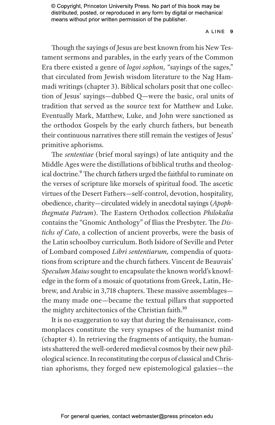# A Line **9**

Though the sayings of Jesus are best known from his New Testament sermons and parables, in the early years of the Common Era there existed a genre of *logoi sophon,* "sayings of the sages," that circulated from Jewish wisdom literature to the Nag Hammadi writings (chapter 3). Biblical scholars posit that one collection of Jesus' sayings—dubbed Q*—*were the basic, oral units of tradition that served as the source text for Matthew and Luke. Eventually Mark, Matthew, Luke, and John were sanctioned as the orthodox Gospels by the early church fathers, but beneath their continuous narratives there still remain the vestiges of Jesus' primitive aphorisms.

The *sententiae* (brief moral sayings) of late antiquity and the Middle Ages were the distillations of biblical truths and theological doctrine.<sup>9</sup> The church fathers urged the faithful to ruminate on the verses of scripture like morsels of spiritual food. The ascetic virtues of the Desert Fathers—self-control, devotion, hospitality, obedience, charity—circulated widely in anecdotal sayings (*Apophthegmata Patrum*). The Eastern Orthodox collection *Philokalia* contains the "Gnomic Anthology" of Ilias the Presbyter. The *Distichs of Cato*, a collection of ancient proverbs, were the basis of the Latin schoolboy curriculum. Both Isidore of Seville and Peter of Lombard composed *Libri sententiarum,* compendia of quotations from scripture and the church fathers. Vincent de Beauvais' *Speculum Maius* sought to encapsulate the known world's knowledge in the form of a mosaic of quotations from Greek, Latin, Hebrew, and Arabic in 3,718 chapters. These massive assemblages the many made one—became the textual pillars that supported the mighty architectonics of the Christian faith.<sup>10</sup>

It is no exaggeration to say that during the Renaissance, commonplaces constitute the very synapses of the humanist mind (chapter 4). In retrieving the fragments of antiquity, the humanists shattered the well-ordered medieval cosmos by their new philological science. In reconstituting the corpus of classical and Christian aphorisms, they forged new epistemological galaxies—the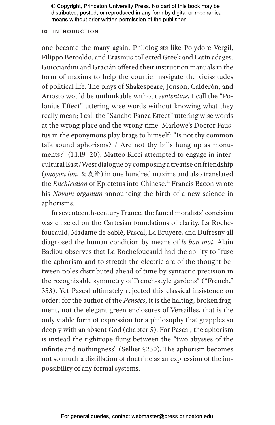# **10** Introduction

one became the many again. Philologists like Polydore Vergil, Filippo Beroaldo, and Erasmus collected Greek and Latin adages. Guicciardini and Gracián offered their instruction manuals in the form of maxims to help the courtier navigate the vicissitudes of political life. The plays of Shakespeare, Jonson, Calderón, and Ariosto would be unthinkable without *sententiae.* I call the "Polonius Effect" uttering wise words without knowing what they really mean; I call the "Sancho Panza Effect" uttering wise words at the wrong place and the wrong time. Marlowe's Doctor Faustus in the eponymous play brags to himself: "Is not thy common talk sound aphorisms? / Are not thy bills hung up as monuments?" (1.1.19–20). Matteo Ricci attempted to engage in intercultural East/West dialogue by composing a treatise on friendship (*jiaoyou lun,* 交友論) in one hundred maxims and also translated the *Enchiridion* of Epictetus into Chinese.<sup>11</sup> Francis Bacon wrote his *Novum organum* announcing the birth of a new science in aphorisms.

In seventeenth-century France, the famed moralists' concision was chiseled on the Cartesian foundations of clarity. La Rochefoucauld, Madame de Sablé, Pascal, La Bruyère, and Dufresny all diagnosed the human condition by means of *le bon mot*. Alain Badiou observes that La Rochefoucauld had the ability to "fuse the aphorism and to stretch the electric arc of the thought between poles distributed ahead of time by syntactic precision in the recognizable symmetry of French-style gardens" ("French," 353). Yet Pascal ultimately rejected this classical insistence on order: for the author of the *Pensées*, it is the halting, broken fragment, not the elegant green enclosures of Versailles, that is the only viable form of expression for a philosophy that grapples so deeply with an absent God (chapter 5). For Pascal, the aphorism is instead the tightrope flung between the "two abysses of the infinite and nothingness" (Sellier §230). The aphorism becomes not so much a distillation of doctrine as an expression of the impossibility of any formal systems.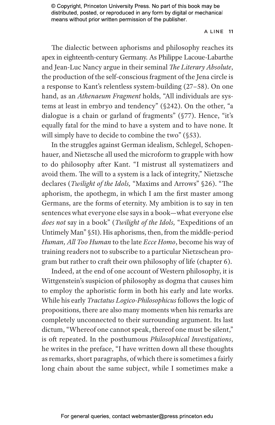# A Line **11**

The dialectic between aphorisms and philosophy reaches its apex in eighteenth-century Germany. As Philippe Lacoue-Labarthe and Jean-Luc Nancy argue in their seminal *The Literary Absolute*, the production of the self-conscious fragment of the Jena circle is a response to Kant's relentless system-building (27–58). On one hand, as an *Athenaeum Fragment* holds, "All individuals are systems at least in embryo and tendency" (§242). On the other, "a dialogue is a chain or garland of fragments" (§77). Hence, "it's equally fatal for the mind to have a system and to have none. It will simply have to decide to combine the two" (§53).

In the struggles against German idealism, Schlegel, Schopenhauer, and Nietzsche all used the microform to grapple with how to do philosophy after Kant. "I mistrust all systematizers and avoid them. The will to a system is a lack of integrity," Nietzsche declares (*Twilight of the Idols,* "Maxims and Arrows" §26). "The aphorism, the apothegm, in which I am the first master among Germans, are the forms of eternity. My ambition is to say in ten sentences what everyone else says in a book—what everyone else *does not* say in a book" (*Twilight of the Idols,* "Expeditions of an Untimely Man" §51). His aphorisms, then, from the middle-period *Human, All Too Human* to the late *Ecce Homo*, become his way of training readers not to subscribe to a particular Nietzschean program but rather to craft their own philosophy of life (chapter 6).

Indeed, at the end of one account of Western philosophy, it is Wittgenstein's suspicion of philosophy as dogma that causes him to employ the aphoristic form in both his early and late works. While his early *Tractatus Logico-Philosophicus* follows the logic of propositions, there are also many moments when his remarks are completely unconnected to their surrounding argument. Its last dictum, "Whereof one cannot speak, thereof one must be silent," is oft repeated. In the posthumous *Philosophical Investigations*, he writes in the preface, "I have written down all these thoughts as remarks, short paragraphs, of which there is sometimes a fairly long chain about the same subject, while I sometimes make a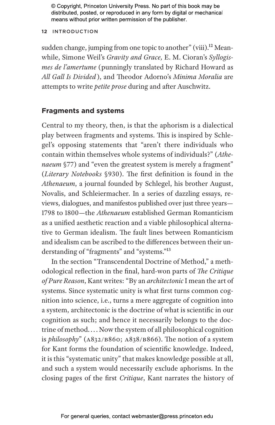**12** Introduction

sudden change, jumping from one topic to another" (viii).<sup>12</sup> Meanwhile, Simone Weil's *Gravity and Grace,* E. M. Cioran's *Syllogismes de l'amertume* (punningly translated by Richard Howard as *All Gall Is Divided*), and Theodor Adorno's *Minima Moralia* are attempts to write *petite prose* during and after Auschwitz.

# **Fragments and systems**

Central to my theory, then, is that the aphorism is a dialectical play between fragments and systems. This is inspired by Schlegel's opposing statements that "aren't there individuals who contain within themselves whole systems of individuals?" (*Athenaeum* §77) and "even the greatest system is merely a fragment" (*Literary Notebooks* §930). The first definition is found in the *Athenaeum*, a journal founded by Schlegel, his brother August, Novalis, and Schleiermacher. In a series of dazzling essays, reviews, dialogues, and manifestos published over just three years— 1798 to 1800—the *Athenaeum* established German Romanticism as a unified aesthetic reaction and a viable philosophical alternative to German idealism. The fault lines between Romanticism and idealism can be ascribed to the differences between their understanding of "fragments" and "systems."<sup>13</sup>

In the section "Transcendental Doctrine of Method," a methodological reflection in the final, hard-won parts of *The Critique of Pure Reason*, Kant writes: "By an *architectonic* I mean the art of systems. Since systematic unity is what first turns common cognition into science, i.e., turns a mere aggregate of cognition into a system, architectonic is the doctrine of what is scientific in our cognition as such; and hence it necessarily belongs to the doctrine of method.... Now the system of all philosophical cognition is *philosophy*" (a832/b860; a838/b866). The notion of a system for Kant forms the foundation of scientific knowledge. Indeed, it is this "systematic unity" that makes knowledge possible at all, and such a system would necessarily exclude aphorisms. In the closing pages of the first *Critique*, Kant narrates the history of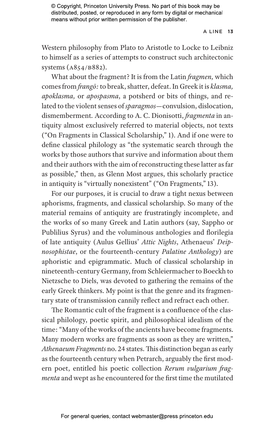# A Line **13**

Western philosophy from Plato to Aristotle to Locke to Leibniz to himself as a series of attempts to construct such architectonic systems (a854/b882).

What about the fragment? It is from the Latin *fragmen,* which comes from *frangō:* to break, shatter, defeat. In Greek it is *klasma, apoklasma,* or *apospasma*, a potsherd or bits of things, and related to the violent senses of *sparagmos*—convulsion, dislocation, dismemberment*.* According to A. C. Dionisotti, *fragmenta* in antiquity almost exclusively referred to material objects, not texts ("On Fragments in Classical Scholarship," 1). And if one were to define classical philology as "the systematic search through the works by those authors that survive and information about them and their authors with the aim of reconstructing these latter as far as possible," then, as Glenn Most argues, this scholarly practice in antiquity is "virtually nonexistent" ("On Fragments," 13).

For our purposes, it is crucial to draw a tight nexus between aphorisms, fragments, and classical scholarship. So many of the material remains of antiquity are frustratingly incomplete, and the works of so many Greek and Latin authors (say, Sappho or Publilius Syrus) and the voluminous anthologies and florilegia of late antiquity (Aulus Gellius' *Attic Nights*, Athenaeus' *Deipnosophistae*, or the fourteenth-century *Palatine Anthology*) are aphoristic and epigrammatic. Much of classical scholarship in nineteenth-century Germany, from Schleiermacher to Boeckh to Nietzsche to Diels, was devoted to gathering the remains of the early Greek thinkers. My point is that the genre and its fragmentary state of transmission cannily reflect and refract each other.

The Romantic cult of the fragment is a confluence of the classical philology, poetic spirit, and philosophical idealism of the time: "Many of the works of the ancients have become fragments. Many modern works are fragments as soon as they are written," *Athenaeum Fragments* no. 24 states. This distinction began as early as the fourteenth century when Petrarch, arguably the first modern poet, entitled his poetic collection *Rerum vulgarium fragmenta* and wept as he encountered for the first time the mutilated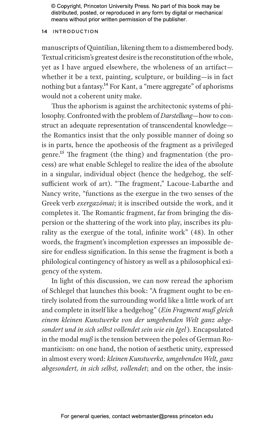# **14** Introduction

manuscripts of Quintilian, likening them to a dismembered body. Textual criticism's greatest desire is the reconstitution of the whole, yet as I have argued elsewhere, the wholeness of an artifact whether it be a text, painting, sculpture, or building—is in fact nothing but a fantasy.14 For Kant, a "mere aggregate" of aphorisms would not a coherent unity make.

Thus the aphorism is against the architectonic systems of philosophy. Confronted with the problem of *Darstellung*—how to construct an adequate representation of transcendental knowledge the Romantics insist that the only possible manner of doing so is in parts, hence the apotheosis of the fragment as a privileged genre.15 The fragment (the thing) and fragmentation (the process) are what enable Schlegel to realize the idea of the absolute in a singular, individual object (hence the hedgehog, the selfsufficient work of art). "The fragment," Lacoue-Labarthe and Nancy write, "functions as the exergue in the two senses of the Greek verb *exergazōmai*; it is inscribed outside the work, and it completes it. The Romantic fragment, far from bringing the dispersion or the shattering of the work into play, inscribes its plurality as the exergue of the total, infinite work" (48). In other words, the fragment's incompletion expresses an impossible desire for endless signification. In this sense the fragment is both a philological contingency of history as well as a philosophical exigency of the system.

In light of this discussion, we can now reread the aphorism of Schlegel that launches this book: "A fragment ought to be entirely isolated from the surrounding world like a little work of art and complete in itself like a hedgehog" (*Ein Fragment muß gleich einem kleinen Kunstwerke von der umgebenden Welt ganz abgesondert und in sich selbst vollendet sein wie ein Igel*)*.* Encapsulated in the modal *muß* is the tension between the poles of German Romanticism: on one hand, the notion of aesthetic unity, expressed in almost every word: *kleinen Kunstwerke, umgebenden Welt, ganz abgesondert, in sich selbst, vollendet*; and on the other, the insis-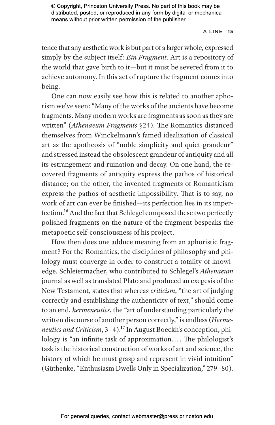A Line **15**

tence that any aesthetic work is but part of a larger whole, expressed simply by the subject itself: *Ein Fragment*. Art is a repository of the world that gave birth to it—but it must be severed from it to achieve autonomy. In this act of rupture the fragment comes into being.

One can now easily see how this is related to another aphorism we've seen: "Many of the works of the ancients have become fragments. Many modern works are fragments as soon as they are written" (*Athenaeum Fragments* §24). The Romantics distanced themselves from Winckelmann's famed idealization of classical art as the apotheosis of "noble simplicity and quiet grandeur" and stressed instead the obsolescent grandeur of antiquity and all its estrangement and ruination and decay. On one hand, the recovered fragments of antiquity express the pathos of historical distance; on the other, the invented fragments of Romanticism express the pathos of aesthetic impossibility. That is to say, no work of art can ever be finished—its perfection lies in its imperfection.16 And the fact that Schlegel composed these two perfectly polished fragments on the nature of the fragment bespeaks the metapoetic self-consciousness of his project.

How then does one adduce meaning from an aphoristic fragment? For the Romantics, the disciplines of philosophy and philology must converge in order to construct a totality of knowledge. Schleiermacher, who contributed to Schlegel's *Athenaeum* journal as well as translated Plato and produced an exegesis of the New Testament, states that whereas *criticism*, "the art of judging correctly and establishing the authenticity of text," should come to an end, *hermeneutics*, the "art of understanding particularly the written discourse of another person correctly," is endless (*Hermeneutics and Criticism*, 3–4).17 In August Boeckh's conception, philology is "an infinite task of approximation.... The philologist's task is the historical construction of works of art and science, the history of which he must grasp and represent in vivid intuition" (Güthenke, "Enthusiasm Dwells Only in Specialization," 279–80).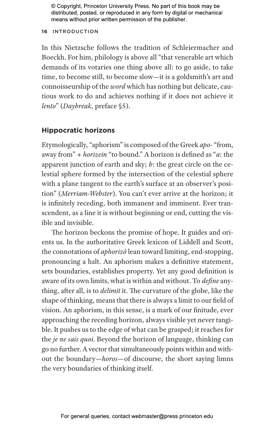# **16** Introduction

In this Nietzsche follows the tradition of Schleiermacher and Boeckh. For him, philology is above all "that venerable art which demands of its votaries one thing above all: to go aside, to take time, to become still, to become slow—it is a goldsmith's art and connoisseurship of the *word* which has nothing but delicate, cautious work to do and achieves nothing if it does not achieve it *lento*" (*Daybreak,* preface §5).

# **Hippocratic horizons**

Etymologically, "aphorism" is composed of the Greek *apo*- "from, away from" + *horizein* "to bound." A horizon is defined as "*a*: the apparent junction of earth and sky; *b*: the great circle on the celestial sphere formed by the intersection of the celestial sphere with a plane tangent to the earth's surface at an observer's position" (*Merriam-Webster*). You can't ever arrive at the horizon; it is infinitely receding, both immanent and imminent. Ever transcendent, as a line it is without beginning or end, cutting the visible and invisible.

The horizon beckons the promise of hope. It guides and orients us. In the authoritative Greek lexicon of Liddell and Scott, the connotations of *aphorizô* lean toward limiting, end-stopping, pronouncing a halt. An aphorism makes a definitive statement, sets boundaries, establishes property. Yet any good definition is aware of its own limits, what is within and without. To *define* anything, after all, is to *delimit* it. The curvature of the globe, like the shape of thinking, means that there is always a limit to our field of vision. An aphorism, in this sense, is a mark of our finitude, ever approaching the receding horizon, always visible yet never tangible. It pushes us to the edge of what can be grasped; it reaches for the *je ne sais quoi*. Beyond the horizon of language, thinking can go no further. A vector that simultaneously points within and without the boundary—*horos*—of discourse, the short saying limns the very boundaries of thinking itself.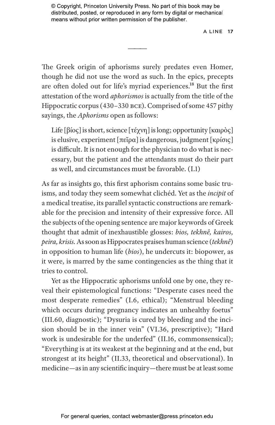———

A Line **17**

The Greek origin of aphorisms surely predates even Homer, though he did not use the word as such. In the epics, precepts are often doled out for life's myriad experiences.18 But the first attestation of the word *aphorismos* is actually from the title of the Hippocratic corpus (430–330 BCE). Comprised of some 457 pithy sayings, the *Aphorisms* open as follows:

Life [βίος] is short, science [τέχνη] is long; opportunity [καιρὸς] is elusive, experiment [πεῖρα] is dangerous, judgment [κρίσις] is difficult. It is not enough for the physician to do what is necessary, but the patient and the attendants must do their part as well, and circumstances must be favorable. (I.1)

As far as insights go, this first aphorism contains some basic truisms, and today they seem somewhat clichéd. Yet as the *incipit* of a medical treatise, its parallel syntactic constructions are remarkable for the precision and intensity of their expressive force. All the subjects of the opening sentence are major keywords of Greek thought that admit of inexhaustible glosses: *bios, tekhnê, kairos, peira, krisis.* As soon as Hippocrates praises human science (*tekhnê*) in opposition to human life (*bios*), he undercuts it: biopower, as it were, is marred by the same contingencies as the thing that it tries to control.

Yet as the Hippocratic aphorisms unfold one by one, they reveal their epistemological functions: "Desperate cases need the most desperate remedies" (I.6, ethical); "Menstrual bleeding which occurs during pregnancy indicates an unhealthy foetus" (III.60, diagnostic); "Dysuria is cured by bleeding and the incision should be in the inner vein" (VI.36, prescriptive); "Hard work is undesirable for the underfed" (II.16, commonsensical); "Everything is at its weakest at the beginning and at the end, but strongest at its height" (II.33, theoretical and observational). In medicine—as in any scientific inquiry—there must be at least some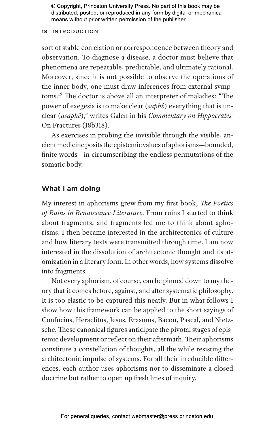# **18** Introduction

sort of stable correlation or correspondence between theory and observation. To diagnose a disease, a doctor must believe that phenomena are repeatable, predictable, and ultimately rational. Moreover, since it is not possible to observe the operations of the inner body, one must draw inferences from external symptoms.19 The doctor is above all an interpreter of maladies: "The power of exegesis is to make clear (*saphê*) everything that is unclear (*asaphê*)," writes Galen in his *Commentary on Hippocrates'* On Fractures (18b318).

As exercises in probing the invisible through the visible, ancient medicine posits the epistemic values of aphorisms—bounded, finite words—in circumscribing the endless permutations of the somatic body.

# **What I am doing**

My interest in aphorisms grew from my first book, *The Poetics of Ruins in Renaissance Literature*. From ruins I started to think about fragments, and fragments led me to think about aphorisms. I then became interested in the architectonics of culture and how literary texts were transmitted through time. I am now interested in the dissolution of architectonic thought and its atomization in a literary form. In other words, how systems dissolve into fragments.

Not every aphorism, of course, can be pinned down to my theory that it comes before, against, and after systematic philosophy. It is too elastic to be captured this neatly. But in what follows I show how this framework can be applied to the short sayings of Confucius, Heraclitus, Jesus, Erasmus, Bacon, Pascal, and Nietzsche. These canonical figures anticipate the pivotal stages of epistemic development or reflect on their aftermath. Their aphorisms constitute a constellation of thoughts, all the while resisting the architectonic impulse of systems. For all their irreducible differences, each author uses aphorisms not to disseminate a closed doctrine but rather to open up fresh lines of inquiry.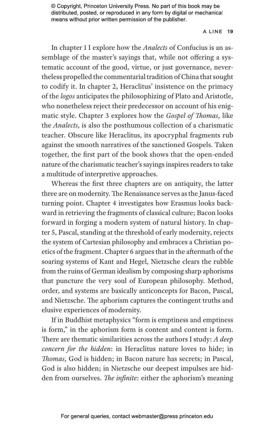## A Line **19**

In chapter 1 I explore how the *Analects* of Confucius is an assemblage of the master's sayings that, while not offering a systematic account of the good, virtue, or just governance, nevertheless propelled the commentarial tradition of China that sought to codify it. In chapter 2, Heraclitus' insistence on the primacy of the *logos* anticipates the philosophizing of Plato and Aristotle, who nonetheless reject their predecessor on account of his enigmatic style. Chapter 3 explores how the *Gospel of Thomas*, like the *Analects*, is also the posthumous collection of a charismatic teacher. Obscure like Heraclitus, its apocryphal fragments rub against the smooth narratives of the sanctioned Gospels. Taken together, the first part of the book shows that the open-ended nature of the charismatic teacher's sayings inspires readers to take a multitude of interpretive approaches.

Whereas the first three chapters are on antiquity, the latter three are on modernity. The Renaissance serves as the Janus-faced turning point. Chapter 4 investigates how Erasmus looks backward in retrieving the fragments of classical culture; Bacon looks forward in forging a modern system of natural history. In chapter 5, Pascal, standing at the threshold of early modernity, rejects the system of Cartesian philosophy and embraces a Christian poetics of the fragment. Chapter 6 argues that in the aftermath of the soaring systems of Kant and Hegel, Nietzsche clears the rubble from the ruins of German idealism by composing sharp aphorisms that puncture the very soul of European philosophy. Method, order, and systems are basically anticoncepts for Bacon, Pascal, and Nietzsche. The aphorism captures the contingent truths and elusive experiences of modernity.

If in Buddhist metaphysics "form is emptiness and emptiness is form," in the aphorism form is content and content is form. There are thematic similarities across the authors I study: *A deep concern for the hidden*: in Heraclitus nature loves to hide; in *Thomas*, God is hidden; in Bacon nature has secrets; in Pascal, God is also hidden; in Nietzsche our deepest impulses are hidden from ourselves. *The infinite*: either the aphorism's meaning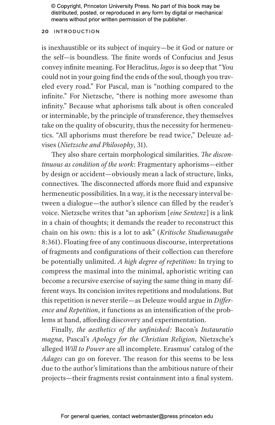# **20** Introduction

is inexhaustible or its subject of inquiry—be it God or nature or the self—is boundless. The finite words of Confucius and Jesus convey infinite meaning. For Heraclitus, *logos* is so deep that "You could not in your going find the ends of the soul, though you traveled every road." For Pascal, man is "nothing compared to the infinite." For Nietzsche, "there is nothing more awesome than infinity." Because what aphorisms talk about is often concealed or interminable, by the principle of transference, they themselves take on the quality of obscurity, thus the necessity for hermeneutics. "All aphorisms must therefore be read twice," Deleuze advises (*Nietzsche and Philosophy*, 31).

They also share certain morphological similarities. *The discontinuous as condition of the work*: Fragmentary aphorisms—either by design or accident—obviously mean a lack of structure, links, connectives. The disconnected affords more fluid and expansive hermeneutic possibilities. In a way, it is the necessary interval between a dialogue—the author's silence can filled by the reader's voice. Nietzsche writes that "an aphorism [*eine Sentenz*] is a link in a chain of thoughts; it demands the reader to reconstruct this chain on his own: this is a lot to ask" (*Kritische Studienausgabe* 8:361). Floating free of any continuous discourse, interpretations of fragments and configurations of their collection can therefore be potentially unlimited. *A high degree of repetition:* In trying to compress the maximal into the minimal, aphoristic writing can become a recursive exercise of saying the same thing in many different ways. Its concision invites repetitions and modulations. But this repetition is never sterile—as Deleuze would argue in *Difference and Repetition*, it functions as an intensification of the problems at hand, affording discovery and experimentation.

Finally, *the aesthetics of the unfinished:* Bacon's *Instauratio magna*, Pascal's *Apology for the Christian Religion,* Nietzsche's alleged *Will to Power* are all incomplete. Erasmus' catalog of the *Adages* can go on forever. The reason for this seems to be less due to the author's limitations than the ambitious nature of their projects—their fragments resist containment into a final system.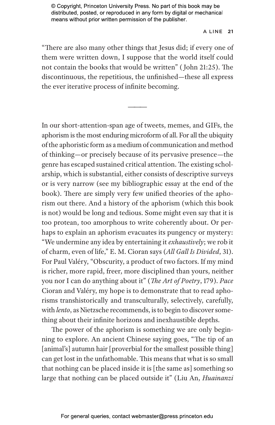# A Line **21**

"There are also many other things that Jesus did; if every one of them were written down, I suppose that the world itself could not contain the books that would be written" ( John 21:25). The discontinuous, the repetitious, the unfinished—these all express the ever iterative process of infinite becoming.

———

In our short-attention-span age of tweets, memes, and GIFs, the aphorism is the most enduring microform of all. For all the ubiquity of the aphoristic form as a medium of communication and method of thinking—or precisely because of its pervasive presence—the genre has escaped sustained critical attention. The existing scholarship, which is substantial, either consists of descriptive surveys or is very narrow (see my bibliographic essay at the end of the book). There are simply very few unified theories of the aphorism out there. And a history of the aphorism (which this book is not) would be long and tedious. Some might even say that it is too protean, too amorphous to write coherently about. Or perhaps to explain an aphorism evacuates its pungency or mystery: "We undermine any idea by entertaining it *exhaustively*; we rob it of charm, even of life," E. M. Cioran says (*All Gall Is Divided*, 31). For Paul Valéry, "Obscurity, a product of two factors. If my mind is richer, more rapid, freer, more disciplined than yours, neither you nor I can do anything about it" (*The Art of Poetry*, 179). *Pace* Cioran and Valéry, my hope is to demonstrate that to read aphorisms transhistorically and transculturally, selectively, carefully, with *lento*, as Nietzsche recommends, is to begin to discover something about their infinite horizons and inexhaustible depths.

The power of the aphorism is something we are only beginning to explore. An ancient Chinese saying goes, "The tip of an [animal's] autumn hair [proverbial for the smallest possible thing] can get lost in the unfathomable. This means that what is so small that nothing can be placed inside it is [the same as] something so large that nothing can be placed outside it" (Liu An, *Huainanzi*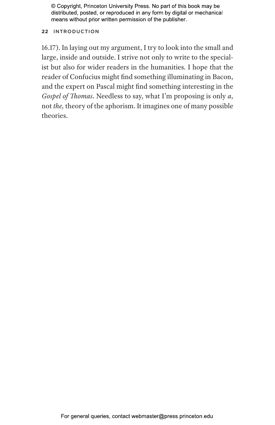# **22** Introduction

16.17). In laying out my argument, I try to look into the small and large, inside and outside. I strive not only to write to the specialist but also for wider readers in the humanities. I hope that the reader of Confucius might find something illuminating in Bacon, and the expert on Pascal might find something interesting in the *Gospel of Thomas*. Needless to say, what I'm proposing is only *a*, not *the,* theory of the aphorism. It imagines one of many possible theories.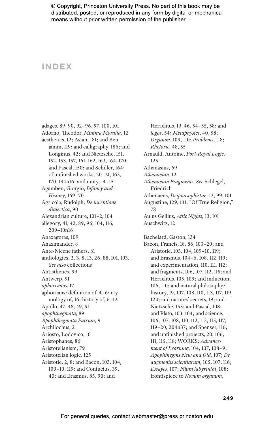# **INDEX**

adages, 89, 90, 92–96, 97, 100, 101 Adorno, Theodor, *Minima Moralia*, 12 aesthetics, 12; Asian, 181; and Benjamin, 119; and calligraphy, 186; and Longinus, 42; and Nietzsche, 151, 152, 153, 157, 161, 162, 163, 164, 170; and Pascal, 150; and Schiller, 164; of unfinished works, 20–21, 163, 170, 194n16; and unity, 14–15 Agamben, Giorgio, *Infancy and History*, 169–70 Agricola, Rudolph, *De inventione dialectica*, 90 Alexandrian culture, 101–2, 104 allegory, 41, 42, 89, 96, 104, 116, 209–10n16 Anaxagoras, 109 Anaximander, 8 Ante-Nicene fathers, 81 anthologies, 2, 3, 8, 13, 26, 88, 101, 103. *See also* collections Antisthenes, 99 Antwerp, 91 *aphorismos*, 17 aphorisms: definition of, 4–6; etymology of, 16; history of, 6–12 Apollo, 47, 48, 49, 51 *apophthegmata*, 89 *Apophthegmata Patrum*, 9 Archilochus, 2 Ariosto, Lodovico, 10 Aristophanes, 86 Aristotelianism, 79 Aristotelian logic, 125 Aristotle, 2, 8; and Bacon, 103, 104, 109–10, 119; and Confucius, 39, 40; and Erasmus, 85, 90; and

Heraclitus, 19, 46, 54–55, 58; and *logos*, 54; *Metaphysics*, 40, 58; *Organon*, 109, 110; *Problems*, 118; *Rhetoric*, 48, 55 Arnauld, Antoine, *Port-Royal Logic*, 125 Athanasius, 69 *Athenaeum*, 12 *Athenaeum Fragments*. *See* Schlegel, Friedrich Athenaeus, *Deipnosophistae*, 13, 99, 101 Augustine, 129, 131; "Of True Religion," 78 Aulus Gellius, *Attic Nights*, 13, 101 Auschwitz, 12 Bachelard, Gaston, 134 Bacon, Francis, 18, 86, 103–20; and Aristotle, 103, 104, 109–10, 119; and Erasmus, 104–6, 108, 112, 119; and experimentation, 110, 111, 112; and fragments, 106, 107, 112, 115; and Heraclitus, 105, 109; and induction, 106, 110; and natural philosophy/ history, 19, 107, 108, 110, 113, 117, 119, 120; and natures' secrets, 19; and Nietzsche, 155; and Pascal, 108; and Plato, 103, 104; and science, 106, 107, 108, 110, 112, 113, 115, 117, 119–20, 204n37; and Spenser, 116; and unfinished projects, 20, 106, 111, 115, 118; WORKS: *Advancement of Learning*, 104, 107, 108–9; *Apophthegms New and Old*, 107; *De augmentis scientiarum*, 105, 107, 116; *Essayes*, 107; *Filum labyrinthi*, 108;

frontispiece to *Novum organum*,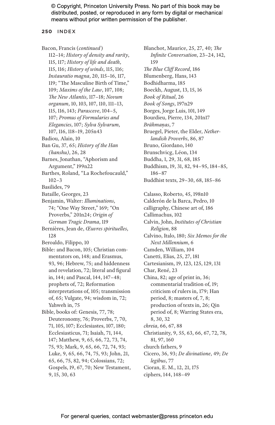#### **250** Index

Bacon, Francis (*continued*) 112–14; *History of density and rarity*, 115, 117; *History of life and death*, 115, 116; *History of winds*, 115, 116; *Instauratio magna*, 20, 115–16, 117, 119; "The Masculine Birth of Time," 109; *Maxims of the Law*, 107, 108; *The New Atlantis*, 117–18; *Novum organum*, 10, 103, 107, 110, 111–13, 115, 116, 143; *Parasceve*, 104–5, 107; *Promus of Formularies and Elegancies*, 107; *Sylva Sylvarum*, 107, 116, 118–19, 205n43 Badiou, Alain, 10 Ban Gu, 37, 65; *History of the Han (hanshu)*, 26, 28 Barnes, Jonathan, "Aphorism and Argument," 199n22 Barthes, Roland, "La Rochefoucauld," 102–3 Basilides, 79 Bataille, Georges, 23 Benjamin, Walter: *Illuminations*, 74; "One Way Street," 169; "On Proverbs," 201n24; *Origin of German Tragic Drama*, 119 Bernières, Jean de, *Œuvres spirituelles*, 128 Beroaldo, Filippo, 10 Bible: and Bacon, 105; Christian commentators on, 148; and Erasmus, 93, 96; Hebrew, 75; and hiddenness and revelation, 72; literal and figural in, 144; and Pascal, 144, 147–48; prophets of, 72; Reformation interpretations of, 105; transmission of, 65; Vulgate, 94; wisdom in, 72; Yahweh in, 75 Bible, books of: Genesis, 77, 78; Deuteronomy, 76; Proverbs, 7, 70, 71, 105, 107; Ecclesiastes, 107, 180; Ecclesiasticus, 71; Isaiah, 71, 144, 147; Matthew, 9, 65, 66, 72, 73, 74, 75, 93; Mark, 9, 65, 66, 72, 74, 93; Luke, 9, 65, 66, 74, 75, 93; John, 21, 65, 66, 75, 82, 94; Colossians, 72; Gospels, 19, 67, 70; New Testament, 9, 15, 30, 63

Blanchot, Maurice, 25, 27, 40; *The Infinite Conversation*, 23–24, 142, 159 *The Blue Cliff Record*, 186 Blumenberg, Hans, 143 Bodhidharma, 185 Boeckh, August, 13, 15, 16 *Book of Ritual*, 26 *Book of Songs*, 197n29 Borges, Jorge Luis, 101, 149 Bourdieu, Pierre, 134, 201n17 *Brāhmaṇas*, 7 Bruegel, Pieter, the Elder, *Netherlandish Proverbs*, 86, 87 Bruno, Giordano, 140 Brunschvicg, Léon, 134 Buddha, 1, 29, 31, 68, 185 Buddhism, 19, 31, 82, 94–95, 184–85, 186–87 Buddhist texts, 29–30, 68, 185–86 Calasso, Roberto, 45, 198n10 Calderón de la Barca, Pedro, 10 calligraphy, Chinese art of, 186 Callimachus, 102 Calvin, John, *Institutes of Christian Religion*, 88 Calvino, Italo, 180; *Six Memos for the Next Millennium*, 6 Camden, William, 104 Canetti, Elias, 25, 27, 181 Cartesianism, 19, 123, 125, 129, 131 Char, René, 23 China, 82; age of print in, 36; commentarial tradition of, 19; criticism of rulers in, 179; Han period, 8; masters of, 7, 8; production of texts in, 26; Qin period of, 8; Warring States era, 8, 30, 32 *chreia*, 66, 67, 88 Christianity, 9, 55, 63, 66, 67, 72, 78, 81, 97, 160 church fathers, 9 Cicero, 36, 93; *De divinatione*, 49; *De legibus*, 77 Cioran, E. M., 12, 21, 175 ciphers, 144, 148–49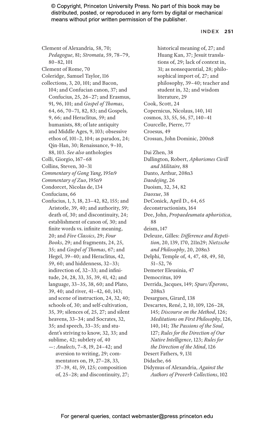#### Index **251**

- Clement of Alexandria, 58, 70; *Pedagogue*, 81; *Stromata*, 59, 78–79, 80–82, 101
- Clement of Rome, 70
- Coleridge, Samuel Taylor, 116
- collections, 3, 20, 101; and Bacon, 104; and Confucian canon, 37; and Confucius, 25, 26–27; and Erasmus, 91, 96, 101; and *Gospel of Thomas*, 64, 66, 70–71, 82, 83; and Gospels, 9, 66; and Heraclitus, 59; and humanists, 88; of late antiquity and Middle Ages, 9, 103; obsessive ethos of, 101–2, 104; as paradox, 24; Qin-Han, 30; Renaissance, 9–10, 88, 103. *See also* anthologies
- Colli, Giorgio, 167–68
- Collins, Steven, 30–31
- *Commentary of Gong Yang*, 195n9
- *Commentary of Zuo*, 195n9
- Condorcet, Nicolas de, 134
- Confucians, 66
- Confucius, 1, 3, 18, 23–42, 82, 155; and Aristotle, 39, 40; and authority, 59; death of, 30; and discontinuity, 24; establishment of canon of, 30; and finite words vs. infinite meaning, 20; and *Five Classics*, 29; *Four Books*, 29; and fragments, 24, 25, 35; and *Gospel of Thomas*, 67; and Hegel, 39–40; and Heraclitus, 42, 59, 60; and hiddenness, 32–33; indirection of, 32–33; and infinitude, 24, 28, 33, 35, 39, 41, 42; and language, 33–35, 38, 60; and Plato, 39, 40; and river, 41–42, 60, 143; and scene of instruction, 24, 32, 40; schools of, 30; and self-cultivation, 35, 39; silences of, 25, 27; and silent heavens, 33–34; and Socrates, 32, 35; and speech, 33–35; and student's striving to know, 32, 33; and sublime, 42; subtlety of, 40
	- —: *Analects*, 7–8, 19, 24–42; and aversion to writing, 29; commentators on, 19, 27–28, 33, 37–39, 41, 59, 125; composition of, 25–28; and discontinuity, 27;

historical meaning of, 27; and Huang Kan, 37; Jesuit translations of, 29; lack of context in, 31; as nonsequential, 28; philosophical import of, 27; and philosophy, 39–40; teacher and student in, 32; and wisdom literature, 29 Cook, Scott, 24 Copernicus, Nicolaus, 140, 141 cosmos, 33, 55, 56, 57, 140–41 Courcelle, Pierre, 77 Croesus, 49 Crossan, John Dominic, 200n8 Dai Zhen, 38 Dallington, Robert, *Aphorismes Civill and Militaire*, 88 Danto, Arthur, 208n3 *Daodejing*, 26 Daoism, 32, 34, 82 *Daoxue*, 38 DeConick, April D., 64, 65 deconstructionists, 164 Dee, John, *Propaedeumata aphoristica*, 88 deism, 147 Deleuze, Gilles: *Difference and Repetition*, 20, 139, 170, 211n29; *Nietzsche and Philosophy*, 20, 208n3 Delphi, Temple of, 4, 47, 48, 49, 50, 51–52, 76 Demeter Eleusinia, 47 Democritus, 109 Derrida, Jacques, 149; *Spurs/Éperons*, 208n3 Desargues, Girard, 138 Descartes, René, 2, 10, 109, 126–28, 145; *Discourse on the Method*, 126; *Meditations on First Philosophy*, 126, 140, 141; *The Passions of the Soul*, 127; *Rules for the Direction of Our Native Intelligence*, 123; *Rules for the Direction of the Mind*, 126 Desert Fathers, 9, 131 Didache, 66 Didymus of Alexandria, *Against the Authors of Proverb Collections*, 102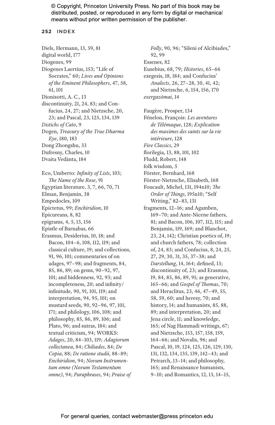92, 99

#### **252** Index

Diels, Hermann, 13, 59, 81 digital world, 177 Diogenes, 99 Diogenes Laertius, 153; "Life of Socrates," 60; *Lives and Opinions of the Eminent Philosophers*, 47, 58, 61, 101 Dionisotti, A. C., 13 discontinuity, 21, 24, 83; and Confucius, 24, 27; and Nietzsche, 20, 23; and Pascal, 23, 125, 134, 139 *Distichs of Cato*, 9 Dogen, *Treasury of the True Dharma Eye*, 180, 183 Dong Zhongshu, 33 Dufresny, Charles, 10 Dvaita Vedānta, 184 Eco, Umberto: *Infinity of Lists*, 103; *The Name of the Rose*, 91 Egyptian literature, 3, 7, 66, 70, 71 Elman, Benjamin, 38 Empedocles, 109 Epictetus, 99; *Enchiridion*, 10 Epicureans, 8, 82 epigrams, 4, 5, 13, 156 Epistle of Barnabas, 66 Erasmus, Desiderius, 10, 18; and Bacon, 104–6, 108, 112, 119; and classical culture, 19; and collections, 91, 96, 101; commentaries of on adages, 97–98; and fragments, 84, 85, 86, 89; on gems, 90–92, 97, 101; and hiddenness, 92, 93; and incompleteness, 20; and infinity/ infinitude, 90, 91, 101, 119; and interpretation, 94, 95, 101; on mustard seeds, 90, 92–96, 97, 101, 171; and philology, 106, 108; and philosophy, 85, 86, 89, 106; and Plato, 96; and sutras, 184; and textual criticism, 94; WORKS: *Adages*, 20, 84–103, 119; *Adagiorum collectanea*, 84; *Chiliades*, 84; *De Copia*, 88; *De ratione studii*, 88–89; *Enchiridion*, 94; *Novum Instrumentum omne (Novum Testamentum omne)*, 94; *Paraphrases*, 94; *Praise of* 

Essenes, 82 Eusebius, 68, 79; *Histories*, 65–66 exegesis, 18, 184; and Confucius' *Analects*, 26, 27–28, 30, 41, 42; and Nietzsche, 6, 154, 156, 170 *exergazōmai*, 14 Faugère, Prosper, 134 Fénelon, François: *Les aventures de Télémaque*, 128; *Explication des maximes des saints sur la vie intérieure*, 128 *Five Classics*, 29 florilegia, 13, 88, 101, 102 Fludd, Robert, 148 folk wisdom, 5 Förster, Bernhard, 168 Förster-Nietzsche, Elisabeth, 168 Foucault, Michel, 131, 194n10; *The Order of Things*, 195n10; "Self Writing," 82–83, 131 fragments, 12–16; and Agamben, 169–70; and Ante-Nicene fathers, 81; and Bacon, 106, 107, 112, 115; and Benjamin, 119, 169; and Blanchot, 23, 24, 142; Christian poetics of, 19; and church fathers, 78; collection of, 24, 83; and Confucius, 8, 24, 25, 27, 29, 30, 31, 35, 37–38; and *Darstellung*, 14, 164; defined, 13; discontinuity of, 23; and Erasmus, 19, 84, 85, 86, 89, 91; as generative, 165–66; and *Gospel of Thomas*, 70; and Heraclitus, 23, 46, 47–49, 55, 58, 59, 60; and heresy, 70; and history, 14; and humanists, 85, 88, 89; and interpretation, 20; and Jena circle, 11; and knowledge, 165; of Nag Hammadi writings, 67; and Nietzsche, 153, 157, 158, 159, 164–66; and Novalis, 96; and Pascal, 10, 19, 124, 125, 126, 129, 130, 131, 132, 134, 135, 139, 142–43; and Petrarch, 13–14; and philosophy, 165; and Renaissance humanists, 9–10; and Romantics, 12, 13, 14–15,

*Folly*, 90, 96; "Sileni of Alcibiades,"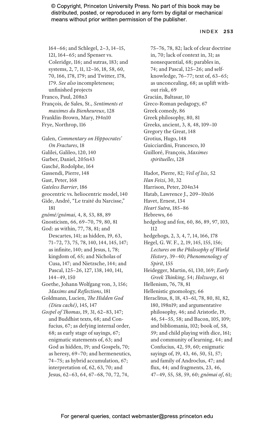#### Index **253**

164–66; and Schlegel, 2–3, 14–15, 121, 164–65; and Spenser vs. Coleridge, 116; and sutras, 183; and systems, 2, 7, 11, 12–16, 18, 58, 60, 70, 166, 178, 179; and Twitter, 178, 179. *See also* incompleteness; unfinished projects Franco, Paul, 208n3 François, de Sales, St., *Sentiments et maximes du Bienheureux*, 128 Franklin-Brown, Mary, 194n10 Frye, Northrop, 116 Galen, *Commentary on Hippocrates' On Fractures*, 18 Galilei, Galileo, 120, 140 Garber, Daniel, 205n43 Gasché, Rodolphe, 164 Gassendi, Pierre, 148 Gast, Peter, 168 *Gateless Barrier*, 186 geocentric vs. heliocentric model, 140 Gide, André, "Le traité du Narcisse," 181 *gnōmē/gnōmai*, 4, 8, 53, 88, 89 Gnosticism, 66, 69–70, 79, 80, 81 God: as within, 77, 78, 81; and Descartes, 141; as hidden, 19, 63, 71–72, 73, 75, 78, 140, 144, 145, 147; as infinite, 140; and Jesus, 1, 78; kingdom of, 65; and Nicholas of Cusa, 147; and Nietzsche, 144; and Pascal, 125–26, 127, 138, 140, 141, 144–49, 150 Goethe, Johann Wolfgang von, 3, 156; *Maxims and Reflections*, 181 Goldmann, Lucien, *The Hidden God (Dieu caché)*, 145, 147 *Gospel of Thomas*, 19, 31, 62–83, 147; and Buddhist texts, 68; and Confucius, 67; as defying internal order, 68; as early stage of sayings, 67; enigmatic statements of, 63; and God as hidden, 19; and Gospels, 70; as heresy, 69–70; and hermeneutics, 74–75; as hybrid accumulation, 67; interpretation of, 62, 63, 70; and Jesus, 62–63, 64, 67–68, 70, 72, 74,

75–76, 78, 82; lack of clear doctrine in, 70; lack of context in, 31; as nonsequential, 68; parables in, 74; and Pascal, 125–26; and selfknowledge, 76–77; text of, 63–65; as unconcealing, 68; as uplift without risk, 69 Gracián, Baltasar, 10 Greco-Roman pedagogy, 67 Greek comedy, 86 Greek philosophy, 80, 81 Greeks, ancient, 3, 8, 48, 109–10 Gregory the Great, 148 Grotius, Hugo, 148 Guicciardini, Francesco, 10 Guilloré, François, *Maximes spirituelles*, 128 Hadot, Pierre, 82; *Veil of Isis*, 52 *Han Feizi*, 30, 32 Harrison, Peter, 204n34 Hatab, Lawrence J., 209–10n16 Havet, Ernest, 134 *Heart Sutra*, 185–86 Hebrews, 66 hedgehog and fox, 60, 86, 89, 97, 103, 112 hedgehogs, 2, 3, 4, 7, 14, 166, 178 Hegel, G. W. F., 2, 19, 145, 155, 156; *Lectures on the Philosophy of World History*, 39–40; *Phenomenology of Spirit*, 155 Heidegger, Martin, 61, 130, 169; *Early Greek Thinking*, 54; *Holzwege*, 61 Hellenism, 76, 78, 81 Hellenistic gnomology, 66 Heraclitus, 8, 18, 43–61, 78, 80, 81, 82, 180, 198n19; and argumentative philosophy, 46; and Aristotle, 19, 46, 54–55, 58; and Bacon, 105, 109; and bibliomania, 102; book of, 58, 59; and child playing with dice, 161; and community of learning, 44; and Confucius, 42, 59, 60; enigmatic sayings of, 19, 43, 46, 50, 51, 57; and family of Androclus, 47; and flux, 44; and fragments, 23, 46, 47–49, 55, 58, 59, 60; *gnōmai of*, 61;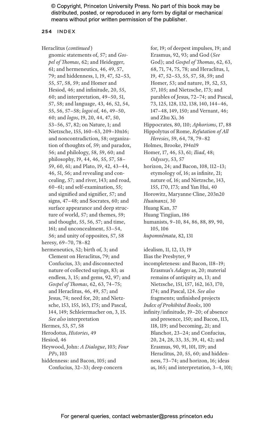#### **254** Index

Heraclitus (*continued*)

gnomic statements of, 57; and *Gospel of Thomas*, 62; and Heidegger, 61; and hermeneutics, 46, 49, 57, 79; and hiddenness, 1, 19, 47, 52–53, 55, 57, 58, 59; and Homer and Hesiod, 46; and infinitude, 20, 55, 60; and interpretation, 49–50, 51, 57, 58; and language, 43, 46, 52, 54, 55, 56, 57–58; *logoi* of, 46, 49–50, 60; and *logos*, 19, 20, 44, 47, 50, 53–56, 57, 82; on Nature, 1; and Nietzsche, 155, 160–63, 209–10n16; and noncontradiction, 58; organization of thoughts of, 59; and paradox, 56; and philology, 58, 59, 60; and philosophy, 19, 44, 46, 55, 57, 58– 59, 60, 61; and Plato, 19, 42, 43–44, 46, 51, 56; and revealing and concealing, 57; and river, 143; and road, 60–61; and self-examination, 55; and signified and signifier, 57; and signs, 47–48; and Socrates, 60; and surface appearance and deep structure of world, 57; and themes, 59; and thought, 55, 56, 57; and time, 161; and unconcealment, 53–54, 56; and unity of opposites, 57, 58

- heresy, 69–70, 78–82
- hermeneutics, 52; birth of, 3; and Clement on Heraclitus, 79; and Confucius, 33; and disconnected nature of collected sayings, 83; as endless, 3, 15; and gems, 92, 97; and *Gospel of Thomas*, 62, 63, 74–75; and Heraclitus, 46, 49, 57; and Jesus, 74; need for, 20; and Nietzsche, 153, 155, 163, 175; and Pascal, 144, 149; Schleiermacher on, 3, 15. *See also* interpretation
- Hermes, 53, 57, 58
- Herodotus, *Histories*, 49
- Hesiod, 46
- Heywood, John: *A Dialogue*, 103; *Four PPs*, 103
- hiddenness: and Bacon, 105; and Confucius, 32–33; deep concern

for, 19; of deepest impulses, 19; and Erasmus, 92, 93; and God (*See* God); and *Gospel of Thomas*, 62, 63, 68, 71, 74, 75, 78; and Heraclitus, 1, 19, 47, 52–53, 55, 57, 58, 59; and Homer, 53; and nature, 19, 52, 53, 57, 105; and Nietzsche, 173; and parables of Jesus, 72–74; and Pascal, 73, 125, 128, 132, 138, 140, 144–46, 147–48, 149, 150; and Vernant, 46; and Zhu Xi, 36 Hippocrates, 80, 110; *Aphorisms*, 17, 88 Hippolytus of Rome, *Refutation of All Heresies*, 59, 64, 78, 79–82 Holmes, Brooke, 194n19 Homer, 17, 46, 53, 61; *Iliad*, 48; *Odyssey*, 53, 57 horizon, 24; and Bacon, 108, 112–13; etymology of, 16; as infinite, 21; nature of, 16; and Nietzsche, 143, 155, 170, 173; and Yan Hui, 40 Horowitz, Maryanne Cline, 203n20 *Huainanzi*, 30 Huang Kan, 37 Huang Tingjian, 186 humanists, 9–10, 84, 86, 88, 89, 90, 105, 106 *hupomnêmata*, 82, 131

- idealism, 11, 12, 13, 19
- Ilias the Presbyter, 9
- incompleteness: and Bacon, 118–19; Erasmus's *Adages* as, 20; material remains of antiquity as, 13; and Nietzsche, 151, 157, 162, 163, 170, 174; and Pascal, 124. *See also* fragments; unfinished projects
- *Index of Prohibited Books*, 100
- infinity/infinitude, 19–20; of absence and presence, 150; and Bacon, 113, 118, 119; and becoming, 21; and Blanchot, 23–24; and Confucius, 20, 24, 28, 33, 35, 39, 41, 42; and Erasmus, 90, 91, 101, 119; and Heraclitus, 20, 55, 60; and hiddenness, 73–74; and horizon, 16; ideas as, 165; and interpretation, 3–4, 101;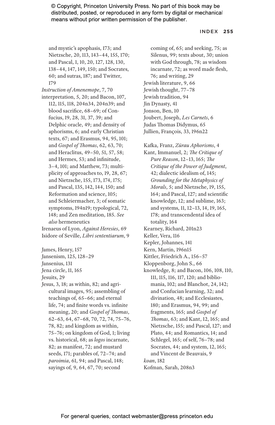# Index **255**

and mystic's apophasis, 173; and Nietzsche, 20, 113, 143–44, 155, 170; and Pascal, 1, 10, 20, 127, 128, 130, 138–44, 147, 149, 150; and Socrates, 60; and sutras, 187; and Twitter, 179

*Instruction of Amenemope*, 7, 70 interpretation, 5, 20; and Bacon, 107, 112, 115, 118, 204n34, 204n39; and blood sacrifice, 68–69; of Confucius, 19, 28, 31, 37, 39; and Delphic oracle, 49; and density of aphorisms, 6; and early Christian texts, 67; and Erasmus, 94, 95, 101; and *Gospel of Thomas*, 62, 63, 70; and Heraclitus, 49–50, 51, 57, 58; and Hermes, 53; and infinitude, 3–4, 101; and Matthew, 73; multiplicity of approaches to, 19, 28, 67; and Nietzsche, 155, 173, 174, 175; and Pascal, 135, 142, 144, 150; and Reformation and science, 105; and Schleiermacher, 3; of somatic symptoms, 194n19; typological, 72, 148; and Zen meditation, 185. *See also* hermeneutics Irenaeus of Lyon, *Against Heresies*, 69

Isidore of Seville, *Libri sententiarum*, 9

James, Henry, 157

- Jansenism, 125, 128–29
- Jansenius, 131

Jena circle, 11, 165

- Jesuits, 29
- Jesus, 3, 18; as within, 82; and agricultural images, 95; assembling of teachings of, 65–66; and eternal life, 74; and finite words vs. infinite meaning, 20; and *Gospel of Thomas*, 62–63, 64, 67–68, 70, 72, 74, 75–76, 78, 82; and kingdom as within, 75–76; on kingdom of God, 1; living vs. historical, 68; as *logos* incarnate, 82; as manifest, 72; and mustard seeds, 171; parables of, 72–74; and *paroimia*, 61, 94; and Pascal, 148; sayings of, 9, 64, 67, 70; second

coming of, 65; and seeking, 75; as Silenus, 99; texts about, 30; union with God through, 78; as wisdom incarnate, 72; as word made flesh, 76; and writing, 29 Jewish literature, 9, 66 Jewish thought, 77–78 Jewish tradition, 94 Jin Dynasty, 41 Jonson, Ben, 10 Joubert, Joseph, *Les Carnets*, 6 Judas Thomas Didymus, 65 Jullien, François, 33, 196n22

Kafka, Franz, *Zürau Aphorisms*, 4 Kant, Immanuel, 2; *The Critique of Pure Reason*, 12–13, 165; *The Critique of the Power of Judgment*, 42; dialectic idealism of, 145; *Grounding for the Metaphysics of Morals*, 5; and Nietzsche, 19, 155, 164; and Pascal, 127; and scientific knowledge, 12; and sublime, 163; and systems, 11, 12–13, 14, 19, 165, 178; and transcendental idea of totality, 164 Kearney, Richard, 201n23 Keller, Vera, 116 Kepler, Johannes, 141 Kern, Martin, 196n15 Kittler, Friedrich A., 156–57 Kloppenborg, John S., 66 knowledge, 8; and Bacon, 106, 108, 110, 111, 115, 116, 117, 120; and bibliomania, 102; and Blanchot, 24, 142; and Confucian learning, 32; and divination, 48; and Ecclesiastes, 180; and Erasmus, 94, 99; and fragments, 165; and *Gospel of Thomas*, 63; and Kant, 12, 165; and Nietzsche, 155; and Pascal, 127; and Plato, 44; and Romantics, 14; and Schlegel, 165; of self, 76–78; and Socrates, 44; and system, 12, 165; and Vincent de Beauvais, 9 *koan*, 182 Kofman, Sarah, 208n3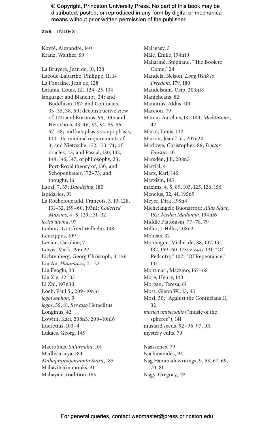#### **256** Index

Koyré, Alexandre, 140 Kranz, Walther, 59

La Bruyère, Jean de, 10, 128 Lacoue-Labarthe, Philippe, 11, 14 La Fontaine, Jean de, 128 Lafuma, Louis, 121, 124–25, 134 language: and Blanchot, 24; and Buddhism, 187; and Confucius, 33–35, 38, 60; deconstructive view of, 174; and Erasmus, 95, 100; and Heraclitus, 43, 46, 52, 54, 55, 56, 57–58; and kataphasis vs. apophasis, 144–45; minimal requirements of, 3; and Nietzsche, 172, 173–74; of oracles, 45; and Pascal, 130, 132, 144, 145, 147; of philosophy, 23; Port-Royal theory of, 130; and Schopenhauer, 172–73; and thought, 16 Laozi, 7, 37; *Daodejing*, 180 lapidaries, 91 La Rochefoucauld, François, 3, 10, 128, 131–32, 159–60, 193n1; *Collected Maxims*, 4–5, 129, 131–32 *lectio divina*, 97 Leibniz, Gottfried Wilhelm, 148 Leucippus, 109 Levine, Caroline, 7 Lewis, Mark, 196n22 Lichtenberg, Georg Christoph, 3, 156 Liu An, *Huainanzi*, 21–22 Liu Fenglu, 33 Liu Xie, 32–33 Li Zhi, 197n30 Loeb, Paul S., 209–10n16 *logoi sophon*, 9 *logos*, 55, 81. *See also* Heraclitus Longinus, 42 Löwith, Karl, 208n3, 209–10n16 Lucretius, 103–4 Lukács, Georg, 145

Macrobius, *Saturnalia*, 101 Madhvācārya, 184 *Mahāprajnāpāramitā Sūtra*, 185 Mahāvihārin monks, 31 Mahayana tradition, 185

Malagasy, 5 Mâle, Émile, 194n10 Mallarmé, Stéphane, "The Book to Come," 24 Mandela, Nelson, *Long Walk to Freedom*, 179, 180 Mandelstam, Osip, 203n18 Manicheans, 82 Manutius, Aldus, 101 Marcion, 79 Marcus Aurelius, 131, 180; *Meditations*, 42 Marin, Louis, 132 Marion, Jean-Luc, 207n20 Marlowe, Christopher, 88; *Doctor Faustus*, 10 Marsden, Jill, 208n3 Martial, 4 Marx, Karl, 145 Marxism, 145 maxims, 4, 5, 89, 103, 125, 126, 156 Mencius, 32, 41, 195n9 Meyer, Dirk, 195n4 Michelangelo Buonarroti: *Atlas Slave*, 152; *Medici Madonna*, 194n16 Middle Platonism, 77–78, 79 Miller, J. Hillis, 208n3 Mohists, 32 Montaigne, Michel de, 88, 107, 131, 132, 159–60, 175; *Essais*, 131; "Of Pedantry," 102; "Of Repentance," 131 Montinari, Mazzino, 167–68 More, Henry, 140 Morgan, Teresa, 61 Most, Glenn W., 13, 45 Mozi, 30; "Against the Confucians II," 32 *musica universalis* ("music of the spheres"), 141 mustard seeds, 92–96, 97, 101 mystery cults, 79 Naassenes, 79 Nachmanides, 94 Nag Hammadi writings, 9, 63, 67, 69, 70, 81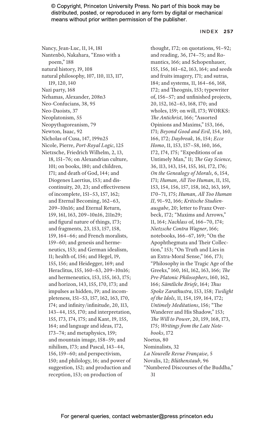## Index **257**

Nancy, Jean-Luc, 11, 14, 181 Nantenbō, Nakahara, "Enso with a poem," 188 natural history, 19, 108 natural philosophy, 107, 110, 113, 117, 119, 120, 140 Nazi party, 168 Nehamas, Alexander, 208n3 Neo-Confucians, 38, 95 Neo-Daoists, 37 Neoplatonism, 55 Neopythagoreanism, 79 Newton, Isaac, 92 Nicholas of Cusa, 147, 199n25 Nicole, Pierre, *Port-Royal Logic*, 125 Nietzsche, Friedrich Wilhelm, 2, 13, 18, 151–76; on Alexandrian culture, 101; on books, 180; and children, 171; and death of God, 144; and Diogenes Laertius, 153; and discontinuity, 20, 23; and effectiveness of incomplete, 151–53, 157, 162; and Eternal Becoming, 162–63, 209–10n16; and Eternal Return, 159, 161, 163, 209–10n16, 211n29; and figural nature of things, 173; and fragments, 23, 153, 157, 158, 159, 164–66; and French moralists, 159–60; and genesis and hermeneutics, 153; and German idealism, 11; health of, 156; and Hegel, 19, 155, 156; and Heidegger, 169; and Heraclitus, 155, 160–63, 209–10n16; and hermeneutics, 153, 155, 163, 175; and horizon, 143, 155, 170, 173; and impulses as hidden, 19; and incompleteness, 151–53, 157, 162, 163, 170, 174; and infinity/infinitude, 20, 113, 143–44, 155, 170; and interpretation, 155, 173, 174, 175; and Kant, 19, 155, 164; and language and ideas, 172, 173–74; and metaphysics, 159; and mountain image, 158–59; and nihilism, 173; and Pascal, 143–44, 156, 159–60; and perspectivism, 150; and philology, 16; and power of suggestion, 152; and production and reception, 153; on production of

thought, 172; on quotations, 91–92; and reading, 36, 174–75; and Romantics, 166; and Schopenhauer, 155, 156, 161–62, 163, 164; and seeds and fruits imagery, 171; and sutras, 184; and systems, 11, 164–66, 168, 172; and Theognis, 153; typewriter of, 156–57; and unfinished projects, 20, 152, 162–63, 168, 170; and wholes, 159; on will, 173; WORKS: *The Antichrist*, 166; "Assorted Opinions and Maxims," 153, 166, 171; *Beyond Good and Evil*, 154, 160, 166, 172; *Daybreak*, 16, 154; *Ecce Homo*, 11, 153, 157–58, 160, 166, 172, 174, 175; "Expeditions of an Untimely Man," 11; *The Gay Science*, 36, 113, 143, 154, 155, 161, 172, 176; *On the Genealogy of Morals*, 6, 154, 171; *Human, All Too Human*, 11, 151, 153, 154, 156, 157, 158, 162, 163, 169, 170–71, 175; *Human, All Too Human II*, 91–92, 166; *Kritische Studienausgabe*, 20; letter to Franz Overbeck, 172; "Maxims and Arrows," 11, 164; *Nachlass* of, 166–70, 174; *Nietzsche Contra Wagner*, 166; notebooks, 166–67, 169; "On the Apophthegmata and Their Collection," 153; "On Truth and Lies in an Extra-Moral Sense," 166, 173; "Philosophy in the Tragic Age of the Greeks," 160, 161, 162, 163, 166; *The Pre-Platonic Philosophers*, 160, 162, 166; *Sämtliche Briefe*, 164; *Thus Spoke Zarathustra*, 153, 158; *Twilight of the Idols*, 11, 154, 159, 164, 172; *Untimely Meditations*, 156; "The Wanderer and His Shadow," 153; *The Will to Power*, 20, 159, 168, 173, 175; *Writings from the Late Notebooks*, 172 Noetus, 80 Nominalists, 32 *La Nouvelle Revue Française*, 5 Novalis, 12; *Blüthenstaub*, 96 "Numbered Discourses of the Buddha,"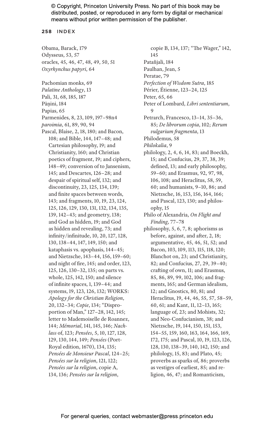#### **258** Index

Obama, Barack, 179 Odysseus, 53, 57 oracles, 45, 46, 47, 48, 49, 50, 51 *Oxyrhynchus papyri*, 64 Pachomian monks, 69 *Palatine Anthology*, 13 Pali, 31, 68, 185, 187 Pāṇini, 184 Papias, 65 Parmenides, 8, 23, 109, 197–98n4 *paroimia*, 61, 89, 90, 94 Pascal, Blaise, 2, 18, 180; and Bacon, 108; and Bible, 144, 147–48; and Cartesian philosophy, 19; and Christianity, 160; and Christian poetics of fragment, 19; and ciphers, 148–49; conversion of to Jansenism, 145; and Descartes, 126–28; and despair of spiritual self, 132; and discontinuity, 23, 125, 134, 139; and finite spaces between words, 143; and fragments, 10, 19, 23, 124, 125, 126, 129, 130, 131, 132, 134, 135, 139, 142–43; and geometry, 138; and God as hidden, 19; and God as hidden and revealing, 73; and infinity/infinitude, 10, 20, 127, 128, 130, 138–44, 147, 149, 150; and kataphasis vs. apophasis, 144–45; and Nietzsche, 143–44, 156, 159–60; and night of fire, 145; and order, 123, 125, 126, 130–32, 135; on parts vs. whole, 125, 142, 150; and silence of infinite spaces, 1, 139–44; and systems, 19, 123, 126, 132; WORKS: *Apology for the Christian Religion*, 20, 132–34; *Copie*, 134; "Disproportion of Man," 127–28, 142, 145; letter to Mademoiselle de Roannez, 144; *Mémorial*, 141, 145, 146; *Nachlass* of, 123; *Pensées*, 5, 10, 127, 128, 129, 130, 144, 149; *Pensées* (Port-Royal edition, 1670), 134, 135; *Pensées de Monsieur Pascal*, 124–25; *Pensées sur la religion*, 121, 122; *Pensées sur la religion*, copie A, 134, 136; *Pensées sur la religion*,

copie B, 134, 137; "The Wager," 142, 145 Patañjali, 184 Paulhan, Jean, 5 Peratae, 79 *Perfection of Wisdom Sutra*, 185 Périer, Étienne, 123–24, 125 Peter, 65, 66 Peter of Lombard, *Libri sententiarum*, 9 Petrarch, Francesco, 13–14, 35–36, 85; *De librorum copia*, 102; *Rerum vulgarium fragmenta*, 13 Philodemus, 58 *Philokalia*, 9 philology, 2, 4, 6, 14, 83; and Boeckh, 15; and Confucius, 29, 37, 38, 39; defined, 13; and early philosophy, 59–60; and Erasmus, 92, 97, 98, 106, 108; and Heraclitus, 58, 59, 60; and humanists, 9–10, 86; and Nietzsche, 16, 153, 156, 164, 166; and Pascal, 123, 130; and philosophy, 15 Philo of Alexandria, *On Flight and Finding*, 77–78 philosophy, 5, 6, 7, 8; aphorisms as before, against, and after, 2, 18; argumentative, 45, 46, 51, 52; and Bacon, 103, 109, 113, 115, 118, 120; Blanchot on, 23; and Christianity, 82; and Confucius, 27, 29, 39–40; crafting of own, 11; and Erasmus, 85, 86, 89, 99, 102, 106; and fragments, 165; and German idealism, 12; and Gnostics, 80, 81; and Heraclitus, 19, 44, 46, 55, 57, 58–59, 60, 61; and Kant, 11, 12–13, 165; language of, 23; and Mohists, 32; and Neo-Confucianism, 38; and Nietzsche, 19, 144, 150, 151, 153, 154–55, 159, 160, 163, 164, 166, 169, 172, 175; and Pascal, 10, 19, 123, 126, 128, 130, 138–39, 140, 142, 150; and philology, 15, 83; and Plato, 45; proverbs as sparks of, 86; proverbs as vestiges of earliest, 85; and religion, 46, 47; and Romanticism,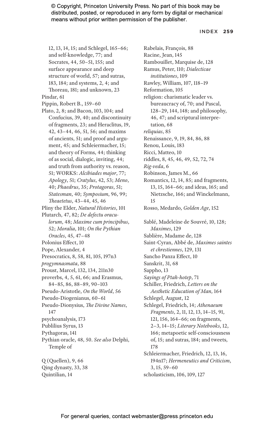# Index **259**

12, 13, 14, 15; and Schlegel, 165–66; and self-knowledge, 77; and Socrates, 44, 50–51, 155; and surface appearance and deep structure of world, 57; and sutras, 183, 184; and systems, 2, 4; and Thoreau, 181; and unknown, 23 Pindar, 61

Pippin, Robert B., 159–60

- Plato, 2, 8; and Bacon, 103, 104; and Confucius, 39, 40; and discontinuity of fragments, 23; and Heraclitus, 19, 42, 43–44, 46, 51, 56; and maxims of ancients, 51; and proof and argument, 45; and Schleiermacher, 15; and theory of Forms, 44; thinking of as social, dialogic, inviting, 44; and truth from authority vs. reason, 51; WORKS: *Alcibiades major*, 77; *Apology*, 51; *Cratylus*, 42, 53; *Meno*, 40; *Phaedrus*, 35; *Protagoras*, 51; *Statesman*, 40; *Symposium*, 96, 99; *Theaetetus*, 43–44, 45, 46
- Pliny the Elder, *Natural Histories*, 101
- Plutarch, 47, 82; *De defectu oraculorum*, 48; *Maxime cum principibus*, 52; *Moralia*, 101; *On the Pythian Oracles*, 45, 47–48
- Polonius Effect, 10
- Pope, Alexander, 4
- Presocratics, 8, 58, 81, 105, 197n3
- *progymnasmata*, 88
- Proust, Marcel, 132, 134, 211n30
- proverbs, 4, 5, 61, 66; and Erasmus, 84–85, 86, 88–89, 90–103
- Pseudo-Aristotle, *On the World*, 56
- Pseudo-Diogenianus, 60–61
- Pseudo-Dionysius, *The Divine Names*, 147
- psychoanalysis, 173
- Publilius Syrus, 13
- Pythagoras, 141
- Pythian oracle, 48, 50. *See also* Delphi, Temple of

Q (Quellen), 9, 66 Qing dynasty, 33, 38 Quintilian, 14

Rabelais, François, 88 Racine, Jean, 145 Rambouillet, Marquise de, 128 Ramus, Peter, 110; *Dialecticae institutiones*, 109 Rawley, William, 107, 118–19 Reformation, 105 religion: charismatic leader vs. bureaucracy of, 70; and Pascal, 128–29, 144, 148; and philosophy, 46, 47; and scriptural interpretation, 68 *reliquias*, 85 Renaissance, 9, 19, 84, 86, 88 Renou, Louis, 183 Ricci, Matteo, 10 riddles, 8, 45, 46, 49, 52, 72, 74 *Rig-veda*, 6 Robinson, James M., 66 Romantics, 12, 14, 85; and fragments, 13, 15, 164–66; and ideas, 165; and Nietzsche, 166; and Winckelmann, 15 Rosso, Medardo, *Golden Age*, 152 Sablé, Madeleine de Souvré, 10, 128; *Maximes*, 129 Sablière, Madame de, 128 Saint-Cyran, Abbé de, *Maximes saintes et chrestiennes*, 129, 131 Sancho Panza Effect, 10 Sanskrit, 31, 68 Sappho, 13 *Sayings of Ptah-hotep*, 71 Schiller, Friedrich, *Letters on the Aesthetic Education of Man,* 164 Schlegel, August, 12 Schlegel, Friedrich, 14; *Athenaeum Fragments*, 2, 11, 12, 13, 14–15, 91, 121, 156, 164–66; on fragments, 2–3, 14–15; *Literary Notebooks*, 12, 166; metapoetic self-consciousness of, 15; and sutras, 184; and tweets, 178 Schleiermacher, Friedrich, 12, 13, 16, 194n17; *Hermeneutics and Criticism*, 3, 15, 59–60

scholasticism, 106, 109, 127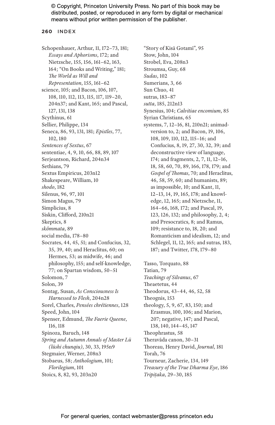#### **260** Index

Schopenhauer, Arthur, 11, 172–73, 181; *Essays and Aphorisms*, 172; and Nietzsche, 155, 156, 161–62, 163, 164; "On Books and Writing," 181; *The World as Will and Representation*, 155, 161–62 science, 105; and Bacon, 106, 107, 108, 110, 112, 113, 115, 117, 119–20, 204n37; and Kant, 165; and Pascal, 127, 131, 138 Scythinus, 61 Sellier, Philippe, 134 Seneca, 86, 93, 131, 181; *Epistles*, 77, 102, 180 *Sentences of Sextus*, 67 sententiae, 4, 9, 10, 66, 88, 89, 107 Serjeantson, Richard, 204n34 Sethians, 79 Sextus Empiricus, 203n12 Shakespeare, William, 10 *shodo*, 182 Silenus, 96, 97, 101 Simon Magus, 79 Simplicius, 8 Siskin, Clifford, 210n21 Skeptics, 8 *skômmata*, 89 social media, 178–80 Socrates, 44, 45, 51; and Confucius, 32, 35, 39, 40; and Heraclitus, 60; on Hermes, 53; as midwife, 46; and philosophy, 155; and self-knowledge, 77; on Spartan wisdom, 50–51 Solomon, 7 Solon, 39 Sontag, Susan, *As Consciousness Is Harnessed to Flesh*, 204n28 Sorel, Charles, *Pensées chrétiennes*, 128 Speed, John, 104 Spenser, Edmund, *The Faerie Queene*, 116, 118 Spinoza, Baruch, 148 *Spring and Autumn Annals of Master Lü (lüshi chunqiu)*, 30, 33, 195n9 Stegmaier, Werner, 208n3 Stobaeus, 58; *Anthologium*, 101; *Florilegium*, 101 Stoics, 8, 82, 93, 203n20

"Story of Kisā Gotamī", 95 Stow, John, 104 Strobel, Eva, 208n3 Stroumsa, Guy, 68 *Sudas*, 102 Sumerians, 3, 66 Sun Chuo, 41 sutras, 183–87 *sutta*, 185, 212n13 Synesius, 104; *Calvitiae encomium*, 85 Syrian Christians, 65 systems, 7, 12–16, 81, 210n21; animadversion to, 2; and Bacon, 19, 106, 108, 109, 110, 112, 115–16; and Confucius, 8, 19, 27, 30, 32, 39; and deconstructive view of language, 174; and fragments, 2, 7, 11, 12–16, 18, 58, 60, 70, 89, 166, 178, 179; and *Gospel of Thomas*, 70; and Heraclitus, 46, 58, 59, 60; and humanists, 89; as impossible, 10; and Kant, 11, 12–13, 14, 19, 165, 178; and knowledge, 12, 165; and Nietzsche, 11, 164–66, 168, 172; and Pascal, 19, 123, 126, 132; and philosophy, 2, 4; and Presocratics, 8; and Ramus, 109; resistance to, 18, 20; and Romanticism and idealism, 12; and Schlegel, 11, 12, 165; and sutras, 183, 187; and Twitter, 178, 179–80 Tasso, Torquato, 88

Tatian, 79 *Teachings of Silvanus*, 67 Theaetetus, 44 Theodorus, 43–44, 46, 52, 58 Theognis, 153 theology, 5, 9, 67, 83, 150; and Erasmus, 100, 106; and Marion, 207; negative, 147; and Pascal, 138, 140, 144–45, 147 Theophrastus, 58 Theravāda canon, 30–31 Thoreau, Henry David, *Journal*, 181 Torah, 76 Tourneur, Zacherie, 134, 149 *Treasury of the True Dharma Eye*, 186 *Tripiṭaka*, 29–30, 185